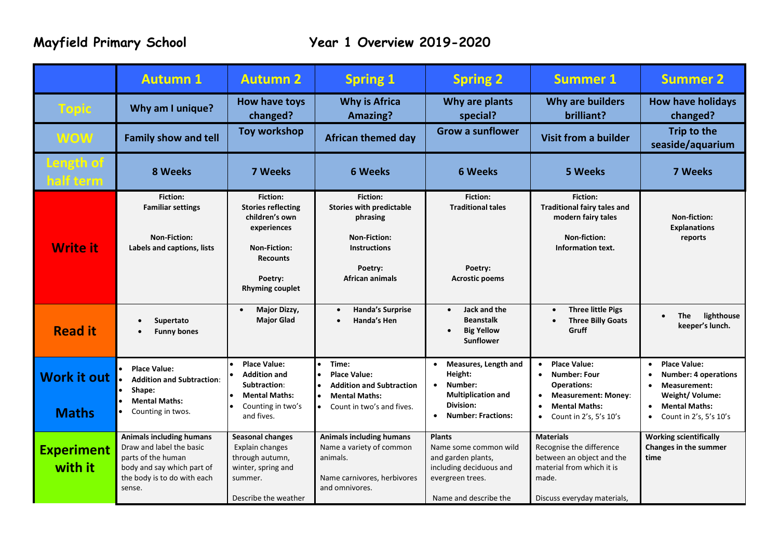|                              | <b>Autumn 1</b>                                                                                                                                          | <b>Autumn 2</b>                                                                                                                                              | <b>Spring 1</b>                                                                                                                            | <b>Spring 2</b>                                                                                                                                          | <b>Summer 1</b>                                                                                                                                               | <b>Summer 2</b>                                                                                                                                                                                   |
|------------------------------|----------------------------------------------------------------------------------------------------------------------------------------------------------|--------------------------------------------------------------------------------------------------------------------------------------------------------------|--------------------------------------------------------------------------------------------------------------------------------------------|----------------------------------------------------------------------------------------------------------------------------------------------------------|---------------------------------------------------------------------------------------------------------------------------------------------------------------|---------------------------------------------------------------------------------------------------------------------------------------------------------------------------------------------------|
| <b>Topic</b>                 | Why am I unique?                                                                                                                                         | How have toys<br>changed?                                                                                                                                    | <b>Why is Africa</b><br><b>Amazing?</b>                                                                                                    | Why are plants<br>special?                                                                                                                               | Why are builders<br>brilliant?                                                                                                                                | <b>How have holidays</b><br>changed?                                                                                                                                                              |
| <b>WOW</b>                   | <b>Family show and tell</b>                                                                                                                              | <b>Toy workshop</b>                                                                                                                                          | <b>African themed day</b>                                                                                                                  | <b>Grow a sunflower</b>                                                                                                                                  | <b>Visit from a builder</b>                                                                                                                                   | Trip to the<br>seaside/aquarium                                                                                                                                                                   |
| Length of<br>half term       | 8 Weeks                                                                                                                                                  | <b>7 Weeks</b>                                                                                                                                               | <b>6 Weeks</b>                                                                                                                             | <b>6 Weeks</b>                                                                                                                                           | <b>5 Weeks</b>                                                                                                                                                | 7 Weeks                                                                                                                                                                                           |
| <b>Write it</b>              | <b>Fiction:</b><br><b>Familiar settings</b><br><b>Non-Fiction:</b><br>Labels and captions, lists                                                         | <b>Fiction:</b><br><b>Stories reflecting</b><br>children's own<br>experiences<br><b>Non-Fiction:</b><br><b>Recounts</b><br>Poetry:<br><b>Rhyming couplet</b> | Fiction:<br><b>Stories with predictable</b><br>phrasing<br><b>Non-Fiction:</b><br><b>Instructions</b><br>Poetry:<br><b>African animals</b> | <b>Fiction:</b><br><b>Traditional tales</b><br>Poetry:<br><b>Acrostic poems</b>                                                                          | <b>Fiction:</b><br><b>Traditional fairy tales and</b><br>modern fairy tales<br>Non-fiction:<br>Information text.                                              | Non-fiction:<br><b>Explanations</b><br>reports                                                                                                                                                    |
| <b>Read it</b>               | Supertato<br>$\bullet$<br><b>Funny bones</b>                                                                                                             | Major Dizzy,<br>$\bullet$<br><b>Major Glad</b>                                                                                                               | <b>Handa's Surprise</b><br>Handa's Hen                                                                                                     | Jack and the<br>$\bullet$<br><b>Beanstalk</b><br><b>Big Yellow</b><br>$\bullet$<br><b>Sunflower</b>                                                      | <b>Three little Pigs</b><br>$\bullet$<br><b>Three Billy Goats</b><br>$\bullet$<br>Gruff                                                                       | <b>The</b><br>lighthouse<br>$\bullet$<br>keeper's lunch.                                                                                                                                          |
| Work it out<br><b>Maths</b>  | <b>Place Value:</b><br><b>Addition and Subtraction:</b><br>Shape:<br><b>Mental Maths:</b><br>Counting in twos.                                           | <b>Place Value:</b><br><b>Addition and</b><br>Subtraction:<br><b>Mental Maths:</b><br>Counting in two's<br>and fives.                                        | Time:<br><b>Place Value:</b><br><b>Addition and Subtraction</b><br><b>Mental Maths:</b><br>Count in two's and fives.<br>$\bullet$          | Measures, Length and<br>$\bullet$<br>Height:<br>Number:<br>$\bullet$<br><b>Multiplication and</b><br>Division:<br><b>Number: Fractions:</b><br>$\bullet$ | <b>Place Value:</b><br>$\bullet$<br><b>Number: Four</b><br><b>Operations:</b><br><b>Measurement: Money:</b><br><b>Mental Maths:</b><br>Count in 2's, 5's 10's | <b>Place Value:</b><br>$\bullet$<br><b>Number: 4 operations</b><br>$\bullet$<br><b>Measurement:</b><br>$\bullet$<br>Weight/Volume:<br><b>Mental Maths:</b><br>$\bullet$<br>Count in 2's, 5's 10's |
| <b>Experiment</b><br>with it | <b>Animals including humans</b><br>Draw and label the basic<br>parts of the human<br>body and say which part of<br>the body is to do with each<br>sense. | <b>Seasonal changes</b><br><b>Explain changes</b><br>through autumn,<br>winter, spring and<br>summer.<br>Describe the weather                                | <b>Animals including humans</b><br>Name a variety of common<br>animals.<br>Name carnivores, herbivores<br>and omnivores.                   | <b>Plants</b><br>Name some common wild<br>and garden plants,<br>including deciduous and<br>evergreen trees.<br>Name and describe the                     | <b>Materials</b><br>Recognise the difference<br>between an object and the<br>material from which it is<br>made.<br>Discuss everyday materials,                | <b>Working scientifically</b><br><b>Changes in the summer</b><br>time                                                                                                                             |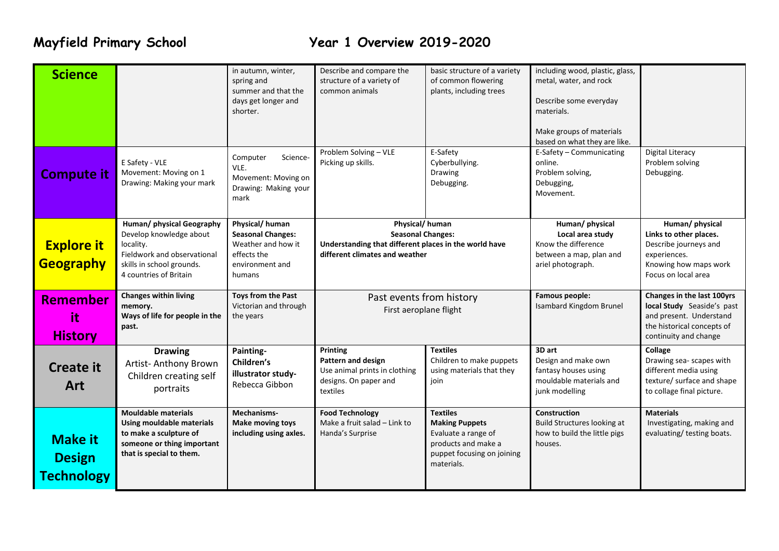# **Mayfield Primary School Year 1 Overview 2019-2020**

| <b>Science</b>                                       |                                                                                                                                                         | in autumn, winter,<br>spring and<br>summer and that the<br>days get longer and<br>shorter.                   | Describe and compare the<br>structure of a variety of<br>common animals                                                               | basic structure of a variety<br>of common flowering<br>plants, including trees                                                     | including wood, plastic, glass,<br>metal, water, and rock<br>Describe some everyday<br>materials.<br>Make groups of materials<br>based on what they are like. |                                                                                                                                            |
|------------------------------------------------------|---------------------------------------------------------------------------------------------------------------------------------------------------------|--------------------------------------------------------------------------------------------------------------|---------------------------------------------------------------------------------------------------------------------------------------|------------------------------------------------------------------------------------------------------------------------------------|---------------------------------------------------------------------------------------------------------------------------------------------------------------|--------------------------------------------------------------------------------------------------------------------------------------------|
| <b>Compute it</b>                                    | E Safety - VLE<br>Movement: Moving on 1<br>Drawing: Making your mark                                                                                    | Computer<br>Science-<br>VLE.<br>Movement: Moving on<br>Drawing: Making your<br>mark                          | Problem Solving - VLE<br>Picking up skills.                                                                                           | E-Safety<br>Cyberbullying.<br>Drawing<br>Debugging.                                                                                | E-Safety - Communicating<br>online.<br>Problem solving,<br>Debugging,<br>Movement.                                                                            | <b>Digital Literacy</b><br>Problem solving<br>Debugging.                                                                                   |
| <b>Explore it</b><br>Geography                       | Human/ physical Geography<br>Develop knowledge about<br>locality.<br>Fieldwork and observational<br>skills in school grounds.<br>4 countries of Britain | Physical/human<br><b>Seasonal Changes:</b><br>Weather and how it<br>effects the<br>environment and<br>humans | Physical/human<br><b>Seasonal Changes:</b><br>Understanding that different places in the world have<br>different climates and weather |                                                                                                                                    | Human/ physical<br>Local area study<br>Know the difference<br>between a map, plan and<br>ariel photograph.                                                    | Human/ physical<br>Links to other places.<br>Describe journeys and<br>experiences.<br>Knowing how maps work<br>Focus on local area         |
| Remember<br>it<br><b>History</b>                     | <b>Changes within living</b><br>memory.<br>Ways of life for people in the<br>past.                                                                      | Toys from the Past<br>Victorian and through<br>the years                                                     | Past events from history<br>First aeroplane flight                                                                                    |                                                                                                                                    | <b>Famous people:</b><br><b>Isambard Kingdom Brunel</b>                                                                                                       | Changes in the last 100yrs<br>local Study Seaside's past<br>and present. Understand<br>the historical concepts of<br>continuity and change |
| <b>Create it</b><br>Art                              | <b>Drawing</b><br>Artist- Anthony Brown<br>Children creating self<br>portraits                                                                          | Painting-<br>Children's<br>illustrator study-<br>Rebecca Gibbon                                              | Printing<br>Pattern and design<br>Use animal prints in clothing<br>designs. On paper and<br>textiles                                  | <b>Textiles</b><br>Children to make puppets<br>using materials that they<br>join                                                   | 3D art<br>Design and make own<br>fantasy houses using<br>mouldable materials and<br>junk modelling                                                            | Collage<br>Drawing sea- scapes with<br>different media using<br>texture/ surface and shape<br>to collage final picture.                    |
| <b>Make it</b><br><b>Design</b><br><b>Technology</b> | <b>Mouldable materials</b><br><b>Using mouldable materials</b><br>to make a sculpture of<br>someone or thing important<br>that is special to them.      | Mechanisms-<br>Make moving toys<br>including using axles.                                                    | <b>Food Technology</b><br>Make a fruit salad - Link to<br>Handa's Surprise                                                            | <b>Textiles</b><br><b>Making Puppets</b><br>Evaluate a range of<br>products and make a<br>puppet focusing on joining<br>materials. | Construction<br>Build Structures looking at<br>how to build the little pigs<br>houses.                                                                        | <b>Materials</b><br>Investigating, making and<br>evaluating/ testing boats.                                                                |